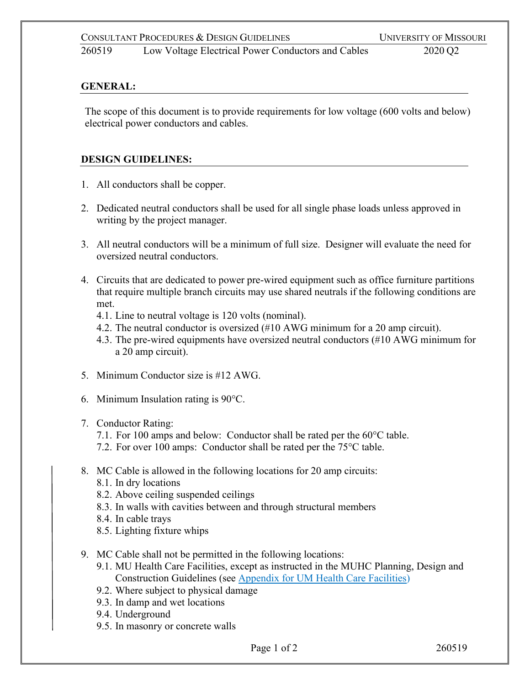260519 Low Voltage Electrical Power Conductors and Cables 2020 Q2

## **GENERAL:**

The scope of this document is to provide requirements for low voltage (600 volts and below) electrical power conductors and cables.

# **DESIGN GUIDELINES:**

- 1. All conductors shall be copper.
- 2. Dedicated neutral conductors shall be used for all single phase loads unless approved in writing by the project manager.
- 3. All neutral conductors will be a minimum of full size. Designer will evaluate the need for oversized neutral conductors.
- 4. Circuits that are dedicated to power pre-wired equipment such as office furniture partitions that require multiple branch circuits may use shared neutrals if the following conditions are met.
	- 4.1. Line to neutral voltage is 120 volts (nominal).
	- 4.2. The neutral conductor is oversized (#10 AWG minimum for a 20 amp circuit).
	- 4.3. The pre-wired equipments have oversized neutral conductors (#10 AWG minimum for a 20 amp circuit).
- 5. Minimum Conductor size is #12 AWG.
- 6. Minimum Insulation rating is 90°C.

# 7. Conductor Rating:

- 7.1. For 100 amps and below: Conductor shall be rated per the 60°C table.
- 7.2. For over 100 amps: Conductor shall be rated per the 75°C table.
- 8. MC Cable is allowed in the following locations for 20 amp circuits:
	- 8.1. In dry locations
	- 8.2. Above ceiling suspended ceilings
	- 8.3. In walls with cavities between and through structural members
	- 8.4. In cable trays
	- 8.5. Lighting fixture whips
- 9. MC Cable shall not be permitted in the following locations:
	- 9.1. MU Health Care Facilities, except as instructed in the MUHC Planning, Design and Construction Guidelines (see [Appendix for UM Health Care Facilities\)](https://collaborate.umsystem.edu/sites/fpd/public/docs/MUHC_Planning_Design_Const_Guidelines_20181107.pdf)
	- 9.2. Where subject to physical damage
	- 9.3. In damp and wet locations
	- 9.4. Underground
	- 9.5. In masonry or concrete walls